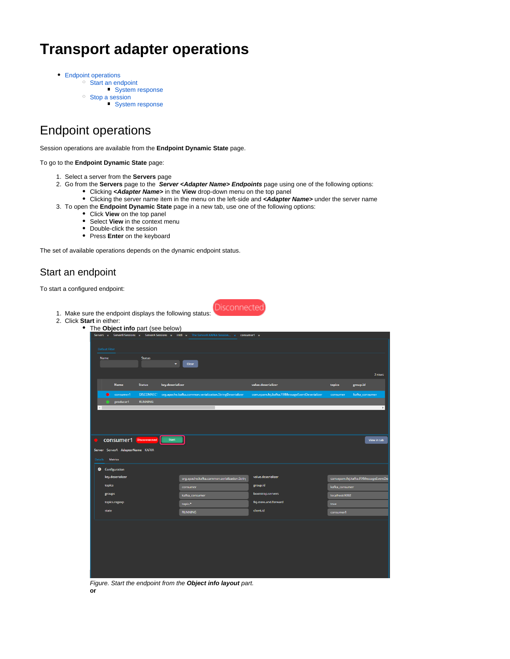# **Transport adapter operations**

- [Endpoint operations](#page-0-0)
	- [Start an endpoint](#page-0-1)
		- [System response](#page-1-0)
	- <sup>o</sup> [Stop a session](#page-1-1)
		- [System response](#page-2-0)

## <span id="page-0-0"></span>Endpoint operations

Session operations are available from the **Endpoint Dynamic State** page.

#### To go to the **Endpoint Dynamic State** page:

- 1. Select a server from the **Servers** page
- 2. Go from the **Servers** page to the **Server <Adapter Name> Endpoints** page using one of the following options:
	- Clicking **<Adapter Name>** in the **View** drop-down menu on the top panel
	- Clicking the server name item in the menu on the left-side and **<Adapter Name>** under the server name
- 3. To open the **Endpoint Dynamic State** page in a new tab, use one of the following options:
	- Click **View** on the top panel
	- Select **View** in the context menu
	- Double-click the session
	- Press **Enter** on the keyboard

The set of available operations depends on the dynamic endpoint status.

1. Make sure the endpoint displays the following status:

### <span id="page-0-1"></span>Start an endpoint

To start a configured endpoint:





Figure. Start the endpoint from the **Object info layout** part. **or**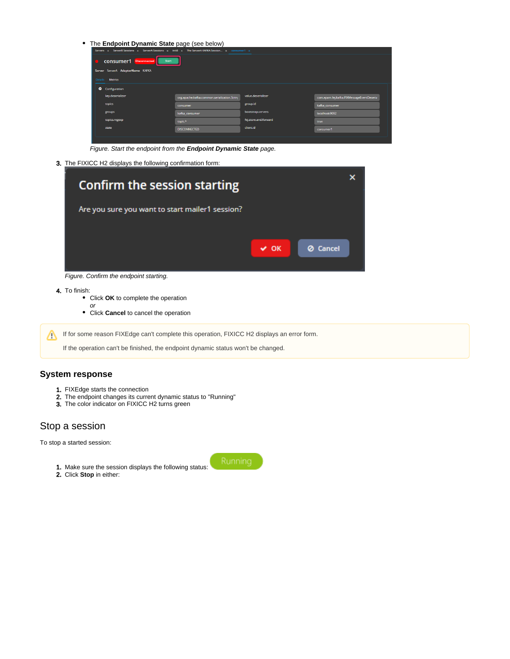• The **Endpoint Dynamic State** page (see below)

| Servers x ServerB Sessions x ServerA Sessions x init8 x The ServerA KAFKA Session x consumer1 x |                                              |                       |                                           |  |  |  |
|-------------------------------------------------------------------------------------------------|----------------------------------------------|-----------------------|-------------------------------------------|--|--|--|
| <b>CONSUMER1</b> Disconnected<br><b>Start</b><br>$\bullet$                                      |                                              |                       |                                           |  |  |  |
| Server ServerA AdapterName KAFKA                                                                |                                              |                       |                                           |  |  |  |
| Metrics<br>Details                                                                              |                                              |                       |                                           |  |  |  |
| ۰<br>Configuration                                                                              |                                              |                       |                                           |  |  |  |
| key.deserializer                                                                                | org.apache.kafka.common.serialization.Strinj | value.deserializer    | com.epam.fej.kafka.FIXMessageEventDeseria |  |  |  |
| topics                                                                                          | consumer                                     | group.id              | kafka consumer                            |  |  |  |
| groups                                                                                          | kafka consumer                               | bootstrap.servers     | localhost:9092                            |  |  |  |
| topics.regexp                                                                                   | topic.*                                      | fej.store.and.forward | true                                      |  |  |  |
| state                                                                                           | <b>DISCONNECTED</b>                          | <b>client.id</b>      | consumer1                                 |  |  |  |
|                                                                                                 |                                              |                       |                                           |  |  |  |

Figure. Start the endpoint from the **Endpoint Dynamic State** page.

3. The FIXICC H2 displays the following confirmation form:

| <b>Confirm the session starting</b>             |           |                 |  |
|-------------------------------------------------|-----------|-----------------|--|
| Are you sure you want to start mailer1 session? |           |                 |  |
|                                                 | $\vee$ OK | <b>Ø</b> Cancel |  |
| Figure. Confirm the endpoint starting.          |           |                 |  |

4. To finish:

- Click **OK** to complete the operation
	- or
- Click **Cancel** to cancel the operation

If for some reason FIXEdge can't complete this operation, FIXICC H2 displays an error form.

If the operation can't be finished, the endpoint dynamic status won't be changed.

#### <span id="page-1-0"></span>**System response**

- 1. FIXEdge starts the connection
- 2. The endpoint changes its current dynamic status to "Running"
- 3. The color indicator on FIXICC H2 turns green

#### <span id="page-1-1"></span>Stop a session

To stop a started session:

- 1. Make sure the session displays the following status:
- 2. Click **Stop** in either:

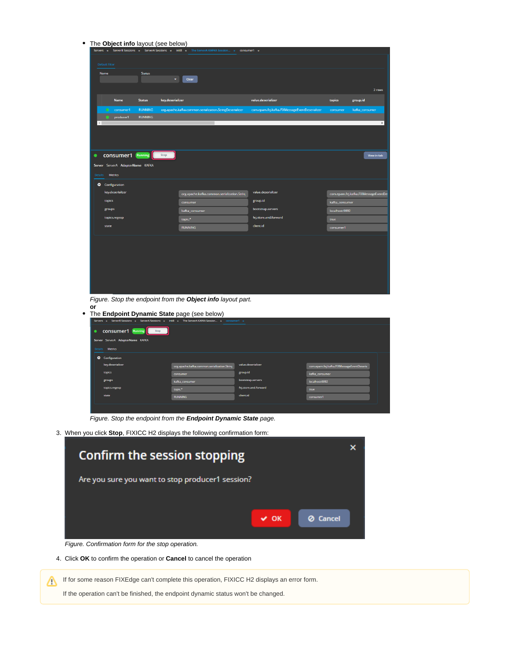| The Object info layout (see below)                                                              |                                                          |                                                |                                       |
|-------------------------------------------------------------------------------------------------|----------------------------------------------------------|------------------------------------------------|---------------------------------------|
| Servers x ServerB Sessions x ServerA Sessions x init8 x The ServerA KAFKA Session x             |                                                          | consumer1 x                                    |                                       |
| <b>Default Filter</b>                                                                           |                                                          |                                                |                                       |
| Name<br><b>Status</b><br>$\bullet$                                                              | Clear                                                    |                                                |                                       |
|                                                                                                 |                                                          |                                                |                                       |
|                                                                                                 |                                                          |                                                | 2 rows                                |
| Name<br><b>Status</b><br>key.deserializer                                                       |                                                          | value.deserializer                             | topics<br>group.id                    |
| consumer1<br><b>RUNNING</b>                                                                     | org.apache.kafka.common.serialization.StringDeserializer | com.epam.fej.kafka.FIXMessageEventDeserializer | consumer<br>kafka_consumer            |
| <b>RUNNING</b><br>producer1                                                                     |                                                          |                                                | $\mathbf{p}$                          |
|                                                                                                 |                                                          |                                                |                                       |
|                                                                                                 |                                                          |                                                |                                       |
|                                                                                                 |                                                          |                                                |                                       |
| <b>CONSUMER1</b> Running<br>Stop<br>$\bullet$                                                   |                                                          |                                                | View in tab                           |
| Server ServerA AdapterName KAFKA                                                                |                                                          |                                                |                                       |
| <b>Metrics</b><br><b>Details</b>                                                                |                                                          |                                                |                                       |
| Configuration                                                                                   |                                                          |                                                |                                       |
| key.deserializer                                                                                | org.apache.kafka.common.serialization.String             | value.deserializer                             | com.epam.fej.kafka.FIXMessageEventDe: |
| topics                                                                                          | consumer                                                 | group.id                                       | kafka_consumer                        |
| groups                                                                                          | kafka_consumer                                           | bootstrap.servers                              | localhost:9092                        |
| topics.regexp                                                                                   | topic.*                                                  | fej.store.and.forward                          | true                                  |
| state                                                                                           | <b>RUNNING</b>                                           | <b>client.id</b>                               | consumer1                             |
|                                                                                                 |                                                          |                                                |                                       |
|                                                                                                 |                                                          |                                                |                                       |
|                                                                                                 |                                                          |                                                |                                       |
|                                                                                                 |                                                          |                                                |                                       |
|                                                                                                 |                                                          |                                                |                                       |
|                                                                                                 |                                                          |                                                |                                       |
|                                                                                                 |                                                          |                                                |                                       |
| Figure. Stop the endpoint from the Object info layout part.                                     |                                                          |                                                |                                       |
| or                                                                                              |                                                          |                                                |                                       |
| The Endpoint Dynamic State page (see below)                                                     |                                                          |                                                |                                       |
| Servers x ServerB Sessions x ServerA Sessions x init8 x The ServerA KAFKA Session x consumer1 x |                                                          |                                                |                                       |
| Stop<br><b>CONSUMER1</b> Running<br>٠                                                           |                                                          |                                                |                                       |
| Server ServerA AdapterName KAFKA                                                                |                                                          |                                                |                                       |
| Metrics<br>Details                                                                              |                                                          |                                                |                                       |
| Configuration                                                                                   |                                                          |                                                |                                       |

group.ic

Figure. Stop the endpoint from the **Endpoint Dynamic State** page.

3. When you click **Stop**, FIXICC H2 displays the following confirmation form:

| <b>Confirm the session stopping</b>              |           |                 |
|--------------------------------------------------|-----------|-----------------|
| Are you sure you want to stop producer1 session? |           |                 |
|                                                  | $\vee$ OK | <b>Ø</b> Cancel |
| .                                                |           |                 |

Figure. Confirmation form for the stop operation.

4. Click **OK** to confirm the operation or **Cancel** to cancel the operation

<span id="page-2-0"></span>If for some reason FIXEdge can't complete this operation, FIXICC H2 displays an error form. Δ

If the operation can't be finished, the endpoint dynamic status won't be changed.